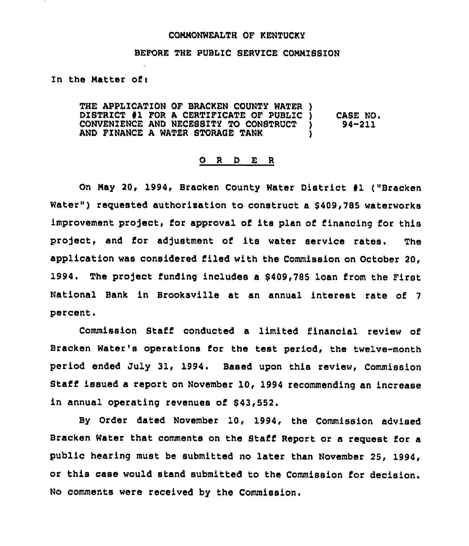#### COHHONWEALTH OF KENTUCKY

### BEFORE THE PUBLIC SERVICE COMMISSION

In the Matter of:

THE APPLICATION OF BRACKEN COUNTY WATER ) DISTRICT #1 FOR A CERTIFICATE OF PUBLIC )<br>CONVENIENCE AND NECESSITY TO CONSTRUCT ) CONVENIENCE AND NECESSITY TO CONSTRUCT AND FINANCE A WATER STORAGE TANK CA8E NO. 94-211

### 0 <sup>R</sup> <sup>D</sup> E <sup>R</sup>

On May 20, 1994, Bracken County Water District #1 ("Bracken Water") requested authorization to construct a \$409,785 waterworks improvement project, for approval of its plan of financing for this pro]ect, and for ad)ustment of its water service rates. The application was considered filed with the Commission on October 20, 1994. The pro]act funding includes a 8409,785 loan from the First National Bank in Brooksville at an annual interest rate of <sup>7</sup> percent.

Commission Staff conducted a limited financial review of Bracken Water's operations for the test period, the twelve-month period ended July 31, 1994. Based upon this review, Commission Staff issued a report on November 10, 1994 recommending an increase in annual operating revenues of 843,552.

By Order dated November 10, 1994, the Commission advised Bracken Water that comments on the Staff Report or a request for a public hearing must be submitted no later than November 25, 1994, or this case would stand submitted to the Commission for decision. No comments were received by the Commission.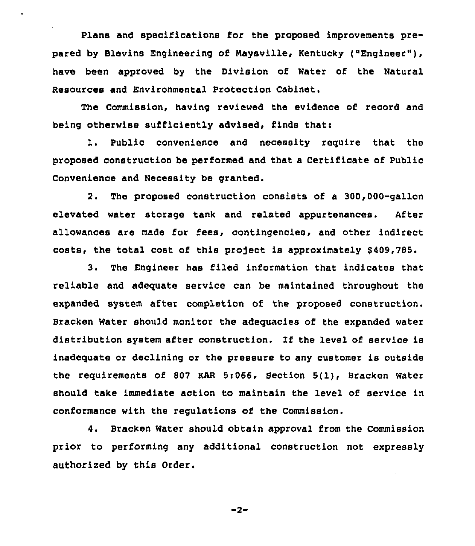Plans and specifications for the proposed improvements prepared by Blevins Engineering of Naysville, Kentucky ("Engineer" ), have been approved by the Division of Water of the Natural Resources and Environmental Protection Cabinet.

The Commission, having reviewed the evidence of record and being otherwise sufficiently advised, finds that:

1. Public convenience and necessity require that the proposed construction be performed and that a Certificate of Public Convenience and Necessity be granted.

2. The proposed construction consists of a 300,000-gallon elevated water storage tank and related appurtenances. After allowances are made for fees, contingencies, and other indirect costs, the total cost of this project is approximately \$409,785.

3. The Engineer has filed information that indicates that reliable and adequate service can be maintained throughout the expanded system after completion of the proposed construction. Bracken Water should monitor the adequacies of the expanded water distribution system after construction. Xf the level of service is inadequate or declining or the pressure to any customer is outside the requirements of 807 KAR 5:066, Section 5(1), Bracken Water should take immediate action to maintain the level of service in conformance with the regulations of the Commission.

4. Bracken Water should obtain approval from the Commission prior to performing any additional construction not expressly authorized by this Order.

 $-2-$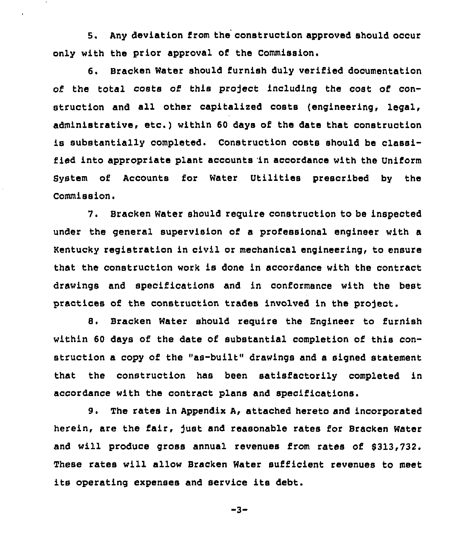6. Any deviation from the construction approved should occur only with the prior approval of the Commission.

 $\hat{\mathbf{r}}$ 

6. Bracken Water should furnish duly verified documentation of the total costs of this project including the cost of construction and all other capitalized costs (engineering, legal, administrative, etc.) within <sup>60</sup> days of the date that construction is substantially completed. Construction costs should be classified into appropriate plant accounts in accordance with the Uniform SyStem of Accounts for Water Utilities prescribed by the Commission.

7. Bracken Water should require construction to be inspected under the general supervision of a professional engineer with a Kentucky registration in civil or mechanical engineering, to ensure that the construction work is done in accordance with the contract drawings and specifications and in conformance with the best practices of the construction trades involved in the project.

8. Bracken Water should reguire the Engineer to furnish within 60 days of the date of substantial completion of this construction a copy of the "as-built" drawings and a signed statement that the construction has been satisfactorily completed in accordance with the contract plans and specifications.

9. The rates in Appendix A, attached hereto and incorporated herein, are the fair, fust and reasonable rates for Bracken Water and will produce gross annual revenues from rates of 6313,732. These rates will allow Bracken Water sufficient revenues to meet its operating expenses and service its debt.

 $-3-$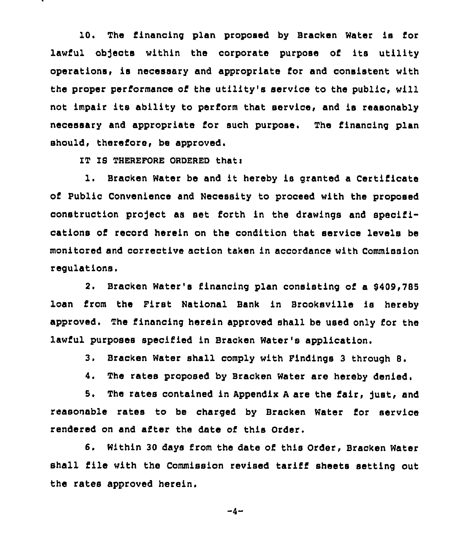10. The financing plan proposed by Bracken Water is for lawful objects within the corporate purpose of its utility operations, is necessary and appropriate for and consistent with the proper performance of the utility's service to the public, will not impair its ability to perform that service, and is reasonably necessary and appropriate for such purpose. The financing plan should, therefore, be approved.

IT IS THEREFORE ORDERED that:

1. Bracken Water be and it hereby is granted <sup>a</sup> Certificate of Public Convenience and Necessity to proceed with the proposed construction project as set forth in the drawings and specifications of record herein on the condition that service levels be monitored and corrective action taken in accordance with Commission regulations'.

2. Bracken Water's financing plan consisting of a \$409,785 loan from the First National Bank in Brooksville is hereby approved. The financing herein approved shall be used only for the lawful purposes specified in Bracken Water's application.

3, Bracken Water shall comply with Findings <sup>3</sup> through 8.

4, The rates proposed by Bracken Water are hereby denied,

5. The rates contained in Appendix A are the fair, just, and reasonable rates to be charged by Bracken Water for service rendered on and after the date of this Order.

6. Within 30 days from the date of this Order, Bracken Water shall file with the Commission revised tariff sheets setting out the rates approved herein.

 $-4-$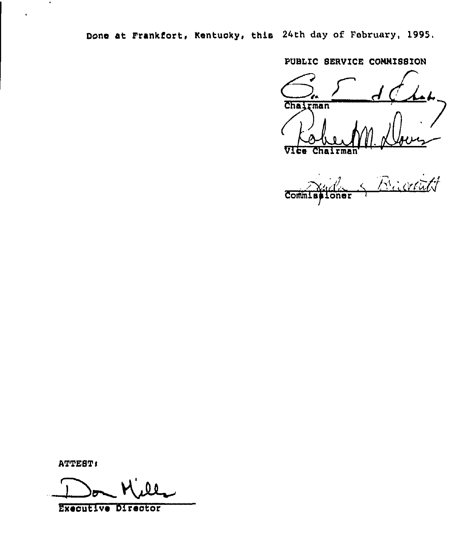Done at Frankfort, Kentucky, this 24th day of February, 1995.

PUBLIC SERVICE CONNISSION

Chairman Vice Chairman

Bachitt Commis oner

**ATTEST:** 

 $\mathcal{A}$ 

 $\bullet$ 

Executive Director